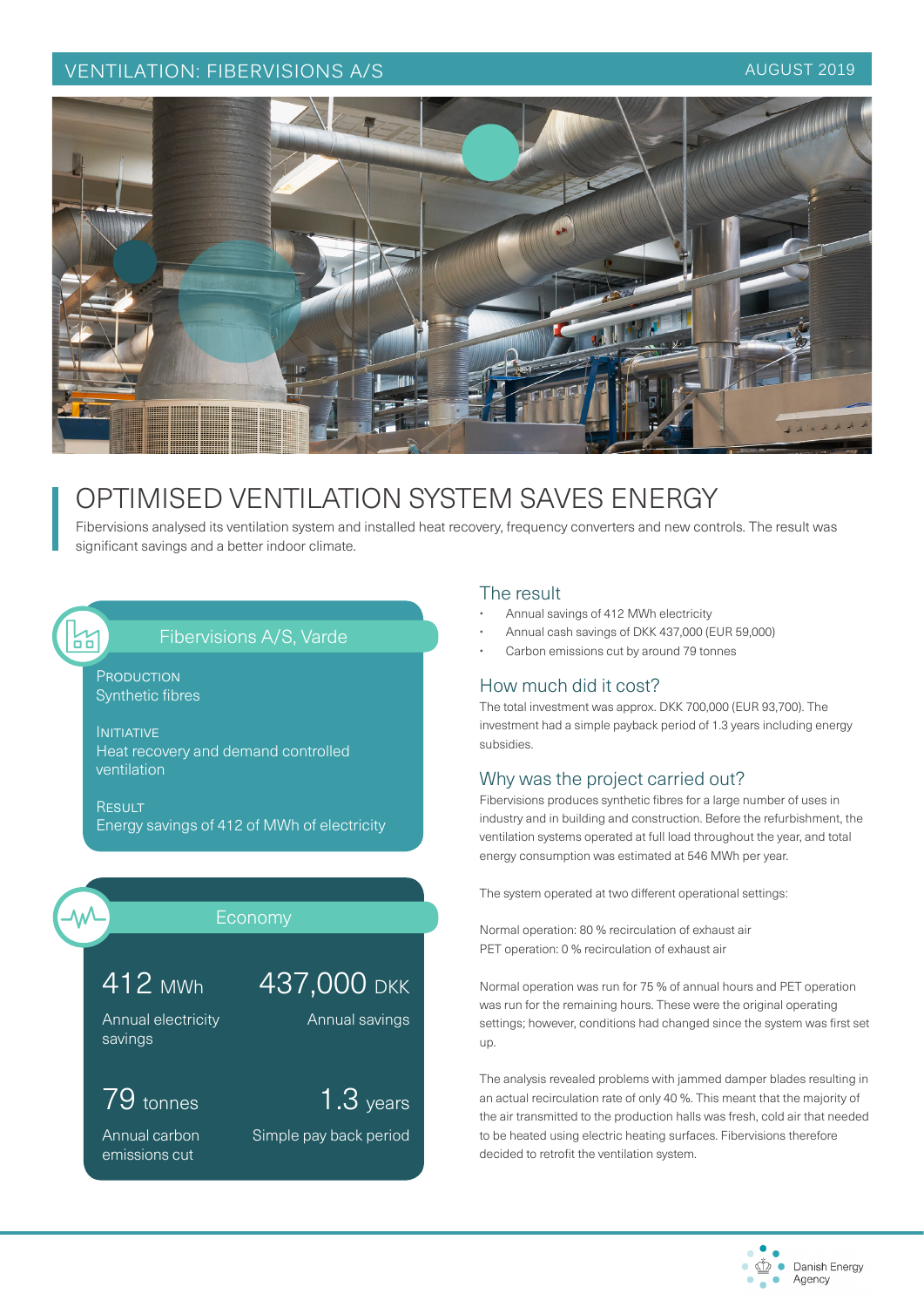#### VENTILATION: FIBERVISIONS A/S AUGUST 2019



# OPTIMISED VENTILATION SYSTEM SAVES ENERGY

Fibervisions analysed its ventilation system and installed heat recovery, frequency converters and new controls. The result was significant savings and a better indoor climate.

#### Fibervisions A/S, Varde

**PRODUCTION** Synthetic fibres

INITIATIVE Heat recovery and demand controlled ventilation

**RESULT** Energy savings of 412 of MWh of electricity



И<br>пп

### Economy

437,000 DKK

Simple pay back period

Annual savings

1.3 years

412 MWh

Annual electricity savings

## 79 tonnes

Annual carbon emissions cut

#### The result

- Annual savings of 412 MWh electricity
- Annual cash savings of DKK 437,000 (EUR 59,000)
- Carbon emissions cut by around 79 tonnes

#### How much did it cost?

The total investment was approx. DKK 700,000 (EUR 93,700). The investment had a simple payback period of 1.3 years including energy subsidies.

#### Why was the project carried out?

Fibervisions produces synthetic fibres for a large number of uses in industry and in building and construction. Before the refurbishment, the ventilation systems operated at full load throughout the year, and total energy consumption was estimated at 546 MWh per year.

The system operated at two different operational settings:

Normal operation: 80 % recirculation of exhaust air PET operation: 0 % recirculation of exhaust air

Normal operation was run for 75 % of annual hours and PET operation was run for the remaining hours. These were the original operating settings; however, conditions had changed since the system was first set up.

The analysis revealed problems with jammed damper blades resulting in an actual recirculation rate of only 40 %. This meant that the majority of the air transmitted to the production halls was fresh, cold air that needed to be heated using electric heating surfaces. Fibervisions therefore decided to retrofit the ventilation system.